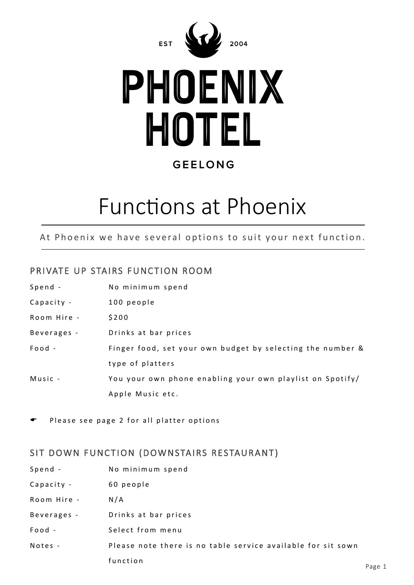



### **GEELONG**

## Functions at Phoenix

At Phoenix we have several options to suit your next function.

#### PRIVATE UP STAIRS FUNCTION ROOM

| Spend -     | No minimum spend                                           |
|-------------|------------------------------------------------------------|
| Capacity -  | 100 people                                                 |
| Room Hire - | \$200                                                      |
| Beverages - | Drinks at bar prices                                       |
| $Food -$    | Finger food, set your own budget by selecting the number & |
|             | type of platters                                           |
| Music -     | You your own phone enabling your own playlist on Spotify/  |
|             | Apple Music etc.                                           |

Please see page 2 for all platter options

#### SIT DOWN FUNCTION (DOWNSTAIRS RESTAURANT)

| Spend -     | No minimum spend                                             |  |
|-------------|--------------------------------------------------------------|--|
| Capacity -  | 60 people                                                    |  |
| Room Hire - | N/A                                                          |  |
| Beverages - | Drinks at bar prices                                         |  |
| Food -      | Select from menu                                             |  |
| Notes -     | Please note there is no table service available for sit sown |  |
|             | function                                                     |  |